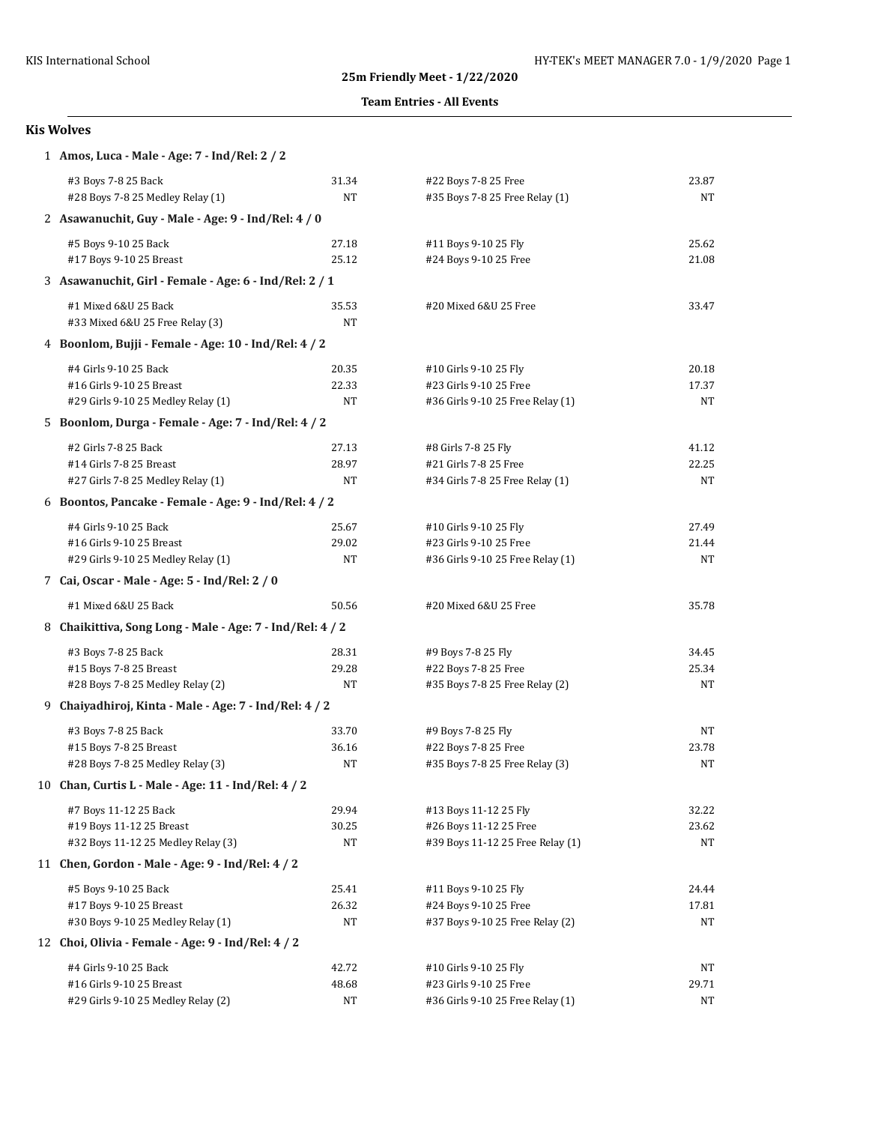### **Team Entries - All Events**

| 1 Amos, Luca - Male - Age: 7 - Ind/Rel: 2 / 2             |       |                                  |       |  |  |
|-----------------------------------------------------------|-------|----------------------------------|-------|--|--|
| #3 Boys 7-8 25 Back                                       | 31.34 | #22 Boys 7-8 25 Free             | 23.87 |  |  |
| #28 Boys 7-8 25 Medley Relay (1)                          | NT    | #35 Boys 7-8 25 Free Relay (1)   | NT    |  |  |
| 2 Asawanuchit, Guy - Male - Age: 9 - Ind/Rel: 4 / 0       |       |                                  |       |  |  |
| #5 Boys 9-10 25 Back                                      | 27.18 | #11 Boys 9-10 25 Fly             | 25.62 |  |  |
| #17 Boys 9-10 25 Breast                                   | 25.12 | #24 Boys 9-10 25 Free            | 21.08 |  |  |
| 3 Asawanuchit, Girl - Female - Age: 6 - Ind/Rel: 2 / 1    |       |                                  |       |  |  |
| #1 Mixed 6&U 25 Back                                      | 35.53 | #20 Mixed 6&U 25 Free            | 33.47 |  |  |
| #33 Mixed 6&U 25 Free Relay (3)                           | NT    |                                  |       |  |  |
| 4 Boonlom, Bujji - Female - Age: 10 - Ind/Rel: 4 / 2      |       |                                  |       |  |  |
| #4 Girls 9-10 25 Back                                     | 20.35 | #10 Girls 9-10 25 Fly            | 20.18 |  |  |
| #16 Girls 9-10 25 Breast                                  | 22.33 | #23 Girls 9-10 25 Free           | 17.37 |  |  |
| #29 Girls 9-10 25 Medley Relay (1)                        | NT    | #36 Girls 9-10 25 Free Relay (1) | NT    |  |  |
| 5 Boonlom, Durga - Female - Age: 7 - Ind/Rel: 4 / 2       |       |                                  |       |  |  |
| #2 Girls 7-8 25 Back                                      | 27.13 | #8 Girls 7-8 25 Fly              | 41.12 |  |  |
| #14 Girls 7-8 25 Breast                                   | 28.97 | #21 Girls 7-8 25 Free            | 22.25 |  |  |
| #27 Girls 7-8 25 Medley Relay (1)                         | NT    | #34 Girls 7-8 25 Free Relay (1)  | NT    |  |  |
| 6 Boontos, Pancake - Female - Age: 9 - Ind/Rel: 4 / 2     |       |                                  |       |  |  |
| #4 Girls 9-10 25 Back                                     | 25.67 | #10 Girls 9-10 25 Fly            | 27.49 |  |  |
| #16 Girls 9-10 25 Breast                                  | 29.02 | #23 Girls 9-10 25 Free           | 21.44 |  |  |
| #29 Girls 9-10 25 Medley Relay (1)                        | NT    | #36 Girls 9-10 25 Free Relay (1) | NT    |  |  |
| 7 Cai, Oscar - Male - Age: 5 - Ind/Rel: 2 / 0             |       |                                  |       |  |  |
| #1 Mixed 6&U 25 Back                                      | 50.56 | #20 Mixed 6&U 25 Free            | 35.78 |  |  |
| 8 Chaikittiva, Song Long - Male - Age: 7 - Ind/Rel: 4 / 2 |       |                                  |       |  |  |
| #3 Boys 7-8 25 Back                                       | 28.31 | #9 Boys 7-8 25 Fly               | 34.45 |  |  |
| #15 Boys 7-8 25 Breast                                    | 29.28 | #22 Boys 7-8 25 Free             | 25.34 |  |  |
| #28 Boys 7-8 25 Medley Relay (2)                          | NT    | #35 Boys 7-8 25 Free Relay (2)   | NT    |  |  |
| 9 Chaiyadhiroj, Kinta - Male - Age: 7 - Ind/Rel: 4 / 2    |       |                                  |       |  |  |
| #3 Boys 7-8 25 Back                                       | 33.70 | #9 Boys 7-8 25 Fly               | NT    |  |  |
| #15 Boys 7-8 25 Breast                                    | 36.16 | #22 Boys 7-8 25 Free             | 23.78 |  |  |
| #28 Boys 7-8 25 Medley Relay (3)                          | NT    | #35 Boys 7-8 25 Free Relay (3)   | NT    |  |  |
| 10 Chan, Curtis L - Male - Age: 11 - Ind/Rel: 4 / 2       |       |                                  |       |  |  |
| #7 Boys 11-12 25 Back                                     | 29.94 | #13 Boys 11-12 25 Fly            | 32.22 |  |  |
| #19 Boys 11-12 25 Breast                                  | 30.25 | #26 Boys 11-12 25 Free           | 23.62 |  |  |
| #32 Boys 11-12 25 Medley Relay (3)                        | NT    | #39 Boys 11-12 25 Free Relay (1) | NT    |  |  |
| 11 Chen, Gordon - Male - Age: 9 - Ind/Rel: 4 / 2          |       |                                  |       |  |  |
| #5 Boys 9-10 25 Back                                      | 25.41 | #11 Boys 9-10 25 Fly             | 24.44 |  |  |
| #17 Boys 9-10 25 Breast                                   | 26.32 | #24 Boys 9-10 25 Free            | 17.81 |  |  |
| #30 Boys 9-10 25 Medley Relay (1)                         | NT    | #37 Boys 9-10 25 Free Relay (2)  | NΤ    |  |  |
| 12 Choi, Olivia - Female - Age: 9 - Ind/Rel: 4 / 2        |       |                                  |       |  |  |
| #4 Girls 9-10 25 Back                                     | 42.72 | #10 Girls 9-10 25 Fly            | NT    |  |  |
| #16 Girls 9-10 25 Breast                                  | 48.68 | #23 Girls 9-10 25 Free           | 29.71 |  |  |
| #29 Girls 9-10 25 Medley Relay (2)                        | NT    | #36 Girls 9-10 25 Free Relay (1) | NT    |  |  |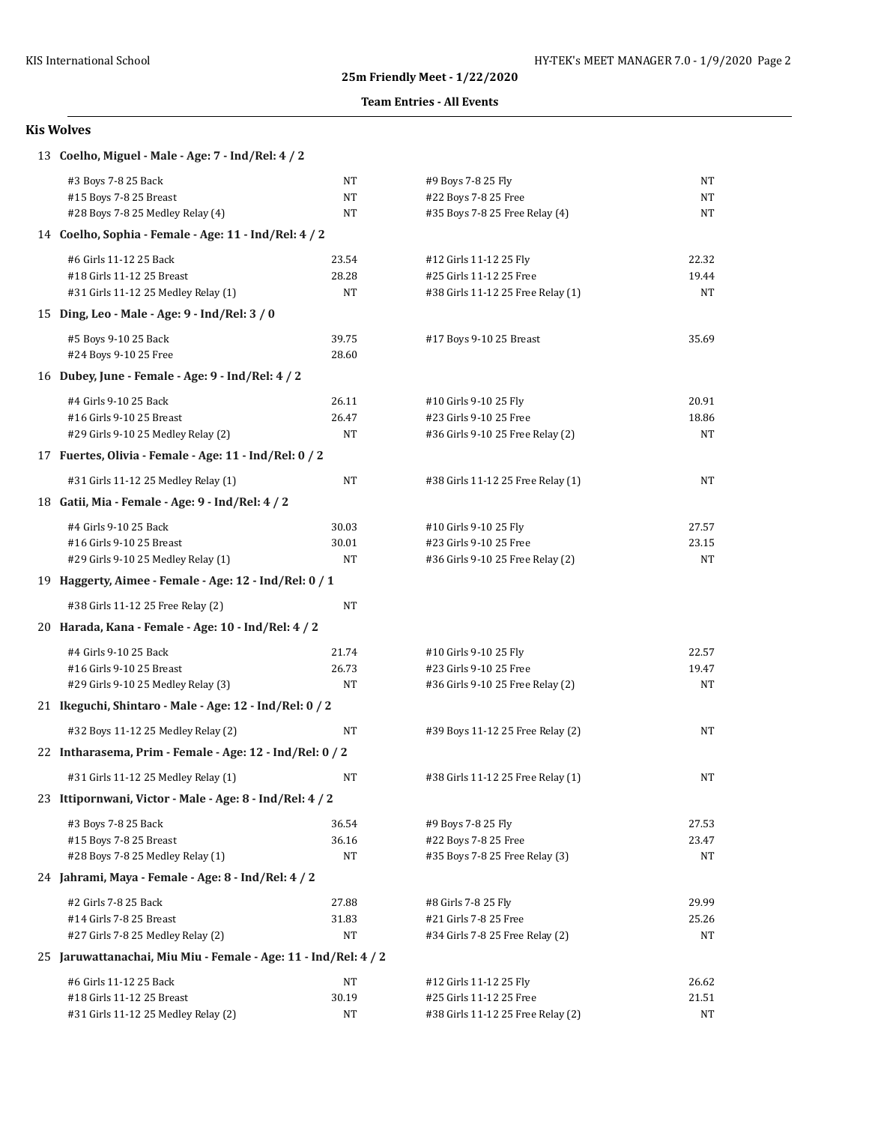### **Team Entries - All Events**

| 13 Coelho, Miguel - Male - Age: 7 - Ind/Rel: 4 / 2              |       |                                   |       |  |  |
|-----------------------------------------------------------------|-------|-----------------------------------|-------|--|--|
| #3 Boys 7-8 25 Back                                             | NT    | #9 Boys 7-8 25 Fly                | NT    |  |  |
| #15 Boys 7-8 25 Breast                                          | NΤ    | #22 Boys 7-8 25 Free              | NT    |  |  |
| #28 Boys 7-8 25 Medley Relay (4)                                | NT    | #35 Boys 7-8 25 Free Relay (4)    | NT    |  |  |
| 14 Coelho, Sophia - Female - Age: 11 - Ind/Rel: 4 / 2           |       |                                   |       |  |  |
| #6 Girls 11-12 25 Back                                          | 23.54 | #12 Girls 11-12 25 Fly            | 22.32 |  |  |
| #18 Girls 11-12 25 Breast                                       | 28.28 | #25 Girls 11-12 25 Free           | 19.44 |  |  |
| #31 Girls 11-12 25 Medley Relay (1)                             | NΤ    | #38 Girls 11-12 25 Free Relay (1) | NΤ    |  |  |
| 15 Ding, Leo - Male - Age: 9 - Ind/Rel: 3 / 0                   |       |                                   |       |  |  |
| #5 Boys 9-10 25 Back                                            | 39.75 | #17 Boys 9-10 25 Breast           | 35.69 |  |  |
| #24 Boys 9-10 25 Free                                           | 28.60 |                                   |       |  |  |
| 16 Dubey, June - Female - Age: 9 - Ind/Rel: 4 / 2               |       |                                   |       |  |  |
| #4 Girls 9-10 25 Back                                           | 26.11 | #10 Girls 9-10 25 Fly             | 20.91 |  |  |
| #16 Girls 9-10 25 Breast                                        | 26.47 | #23 Girls 9-10 25 Free            | 18.86 |  |  |
| #29 Girls 9-10 25 Medley Relay (2)                              | NT    | #36 Girls 9-10 25 Free Relay (2)  | NT    |  |  |
| 17 Fuertes, Olivia - Female - Age: 11 - Ind/Rel: 0 / 2          |       |                                   |       |  |  |
| #31 Girls 11-12 25 Medley Relay (1)                             | NT    | #38 Girls 11-12 25 Free Relay (1) | NT    |  |  |
| 18 Gatii, Mia - Female - Age: 9 - Ind/Rel: 4 / 2                |       |                                   |       |  |  |
| #4 Girls 9-10 25 Back                                           | 30.03 | #10 Girls 9-10 25 Fly             | 27.57 |  |  |
| #16 Girls 9-10 25 Breast                                        | 30.01 | #23 Girls 9-10 25 Free            | 23.15 |  |  |
| #29 Girls 9-10 25 Medley Relay (1)                              | NT    | #36 Girls 9-10 25 Free Relay (2)  | NT    |  |  |
| 19 Haggerty, Aimee - Female - Age: 12 - Ind/Rel: 0 / 1          |       |                                   |       |  |  |
| #38 Girls 11-12 25 Free Relay (2)                               | NT    |                                   |       |  |  |
| 20 Harada, Kana - Female - Age: 10 - Ind/Rel: 4 / 2             |       |                                   |       |  |  |
| #4 Girls 9-10 25 Back                                           | 21.74 | #10 Girls 9-10 25 Fly             | 22.57 |  |  |
| #16 Girls 9-10 25 Breast                                        | 26.73 | #23 Girls 9-10 25 Free            | 19.47 |  |  |
| #29 Girls 9-10 25 Medley Relay (3)                              | NΤ    | #36 Girls 9-10 25 Free Relay (2)  | NT    |  |  |
| 21 Ikeguchi, Shintaro - Male - Age: 12 - Ind/Rel: 0 / 2         |       |                                   |       |  |  |
| #32 Boys 11-12 25 Medley Relay (2)                              | NT    | #39 Boys 11-12 25 Free Relay (2)  | NT    |  |  |
| 22 Intharasema, Prim - Female - Age: 12 - Ind/Rel: 0 / 2        |       |                                   |       |  |  |
| #31 Girls 11-12 25 Medley Relay (1)                             | NT    | #38 Girls 11-12 25 Free Relay (1) | NΤ    |  |  |
| 23 Ittipornwani, Victor - Male - Age: 8 - Ind/Rel: 4 / 2        |       |                                   |       |  |  |
| #3 Boys 7-8 25 Back                                             | 36.54 | #9 Boys 7-8 25 Fly                | 27.53 |  |  |
| #15 Boys 7-8 25 Breast                                          | 36.16 | #22 Boys 7-8 25 Free              | 23.47 |  |  |
| #28 Boys 7-8 25 Medley Relay (1)                                | NT    | #35 Boys 7-8 25 Free Relay (3)    | NΤ    |  |  |
| 24 Jahrami, Maya - Female - Age: 8 - Ind/Rel: 4 / 2             |       |                                   |       |  |  |
| #2 Girls 7-8 25 Back                                            | 27.88 | #8 Girls 7-8 25 Fly               | 29.99 |  |  |
| #14 Girls 7-8 25 Breast                                         | 31.83 | #21 Girls 7-8 25 Free             | 25.26 |  |  |
| #27 Girls 7-8 25 Medley Relay (2)                               | NT    | #34 Girls 7-8 25 Free Relay (2)   | NΤ    |  |  |
| 25 Jaruwattanachai, Miu Miu - Female - Age: 11 - Ind/Rel: 4 / 2 |       |                                   |       |  |  |
| #6 Girls 11-12 25 Back                                          | NΤ    | #12 Girls 11-12 25 Fly            | 26.62 |  |  |
| #18 Girls 11-12 25 Breast                                       | 30.19 | #25 Girls 11-12 25 Free           | 21.51 |  |  |
| #31 Girls 11-12 25 Medley Relay (2)                             | NT    | #38 Girls 11-12 25 Free Relay (2) | NΤ    |  |  |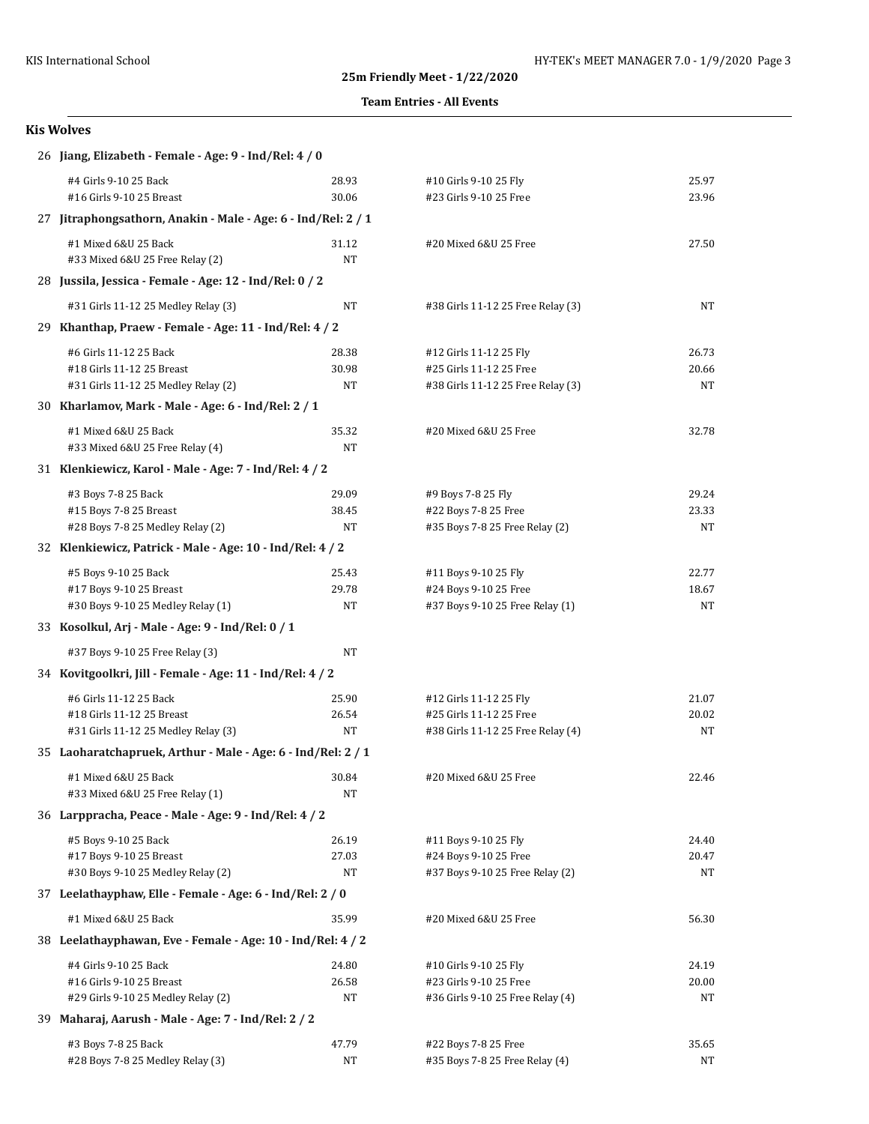### **Team Entries - All Events**

| 26 Jiang, Elizabeth - Female - Age: 9 - Ind/Rel: 4 / 0        |           |                                   |       |  |
|---------------------------------------------------------------|-----------|-----------------------------------|-------|--|
| #4 Girls 9-10 25 Back                                         | 28.93     | #10 Girls 9-10 25 Fly             | 25.97 |  |
| #16 Girls 9-10 25 Breast                                      | 30.06     | #23 Girls 9-10 25 Free            | 23.96 |  |
| 27 Jitraphongsathorn, Anakin - Male - Age: 6 - Ind/Rel: 2 / 1 |           |                                   |       |  |
| #1 Mixed 6&U 25 Back                                          | 31.12     | #20 Mixed 6&U 25 Free             | 27.50 |  |
| #33 Mixed 6&U 25 Free Relay (2)                               | NT        |                                   |       |  |
| 28 Jussila, Jessica - Female - Age: 12 - Ind/Rel: 0 / 2       |           |                                   |       |  |
| #31 Girls 11-12 25 Medley Relay (3)                           | NT        | #38 Girls 11-12 25 Free Relay (3) | NT    |  |
| 29 Khanthap, Praew - Female - Age: 11 - Ind/Rel: 4 / 2        |           |                                   |       |  |
| #6 Girls 11-12 25 Back                                        | 28.38     | #12 Girls 11-12 25 Fly            | 26.73 |  |
| #18 Girls 11-12 25 Breast                                     | 30.98     | #25 Girls 11-12 25 Free           | 20.66 |  |
| #31 Girls 11-12 25 Medley Relay (2)                           | NT        | #38 Girls 11-12 25 Free Relay (3) | NT    |  |
| 30 Kharlamov, Mark - Male - Age: 6 - Ind/Rel: 2 / 1           |           |                                   |       |  |
| #1 Mixed 6&U 25 Back                                          | 35.32     | #20 Mixed 6&U 25 Free             | 32.78 |  |
| #33 Mixed 6&U 25 Free Relay (4)                               | <b>NT</b> |                                   |       |  |
| 31 Klenkiewicz, Karol - Male - Age: 7 - Ind/Rel: 4 / 2        |           |                                   |       |  |
| #3 Boys 7-8 25 Back                                           | 29.09     | #9 Boys 7-8 25 Fly                | 29.24 |  |
| #15 Boys 7-8 25 Breast                                        | 38.45     | #22 Boys 7-8 25 Free              | 23.33 |  |
| #28 Boys 7-8 25 Medley Relay (2)                              | NT        | #35 Boys 7-8 25 Free Relay (2)    | NT    |  |
| 32 Klenkiewicz, Patrick - Male - Age: 10 - Ind/Rel: 4 / 2     |           |                                   |       |  |
| #5 Boys 9-10 25 Back                                          | 25.43     | #11 Boys 9-10 25 Fly              | 22.77 |  |
| #17 Boys 9-10 25 Breast                                       | 29.78     | #24 Boys 9-10 25 Free             | 18.67 |  |
| #30 Boys 9-10 25 Medley Relay (1)                             | NT        | #37 Boys 9-10 25 Free Relay (1)   | NT    |  |
| 33 Kosolkul, Arj - Male - Age: 9 - Ind/Rel: 0 / 1             |           |                                   |       |  |
| #37 Boys 9-10 25 Free Relay (3)                               | NT        |                                   |       |  |
| 34 Kovitgoolkri, Jill - Female - Age: 11 - Ind/Rel: 4 / 2     |           |                                   |       |  |
| #6 Girls 11-12 25 Back                                        | 25.90     | #12 Girls 11-12 25 Fly            | 21.07 |  |
| #18 Girls 11-12 25 Breast                                     | 26.54     | #25 Girls 11-12 25 Free           | 20.02 |  |
| #31 Girls 11-12 25 Medley Relay (3)                           | NT        | #38 Girls 11-12 25 Free Relay (4) | NT    |  |
| 35 Laoharatchapruek, Arthur - Male - Age: 6 - Ind/Rel: 2 / 1  |           |                                   |       |  |
| #1 Mixed 6&U 25 Back                                          | 30.84     | #20 Mixed 6&U 25 Free             | 22.46 |  |
| #33 Mixed 6&U 25 Free Relay (1)                               | NΤ        |                                   |       |  |
| 36 Larppracha, Peace - Male - Age: 9 - Ind/Rel: 4 / 2         |           |                                   |       |  |
| #5 Boys 9-10 25 Back                                          | 26.19     | #11 Boys 9-10 25 Fly              | 24.40 |  |
| #17 Boys 9-10 25 Breast                                       | 27.03     | #24 Boys 9-10 25 Free             | 20.47 |  |
| #30 Boys 9-10 25 Medley Relay (2)                             | NT        | #37 Boys 9-10 25 Free Relay (2)   | NT    |  |
| 37 Leelathayphaw, Elle - Female - Age: 6 - Ind/Rel: 2 / 0     |           |                                   |       |  |
| #1 Mixed 6&U 25 Back                                          | 35.99     | #20 Mixed 6&U 25 Free             | 56.30 |  |
| 38 Leelathayphawan, Eve - Female - Age: 10 - Ind/Rel: 4 / 2   |           |                                   |       |  |
| #4 Girls 9-10 25 Back                                         | 24.80     | #10 Girls 9-10 25 Fly             | 24.19 |  |
| #16 Girls 9-10 25 Breast                                      | 26.58     | #23 Girls 9-10 25 Free            | 20.00 |  |
| #29 Girls 9-10 25 Medley Relay (2)                            | NT        | #36 Girls 9-10 25 Free Relay (4)  | NT    |  |
| 39 Maharaj, Aarush - Male - Age: 7 - Ind/Rel: 2 / 2           |           |                                   |       |  |
| #3 Boys 7-8 25 Back                                           | 47.79     | #22 Boys 7-8 25 Free              | 35.65 |  |
| #28 Boys 7-8 25 Medley Relay (3)                              | NT        | #35 Boys 7-8 25 Free Relay (4)    | NT    |  |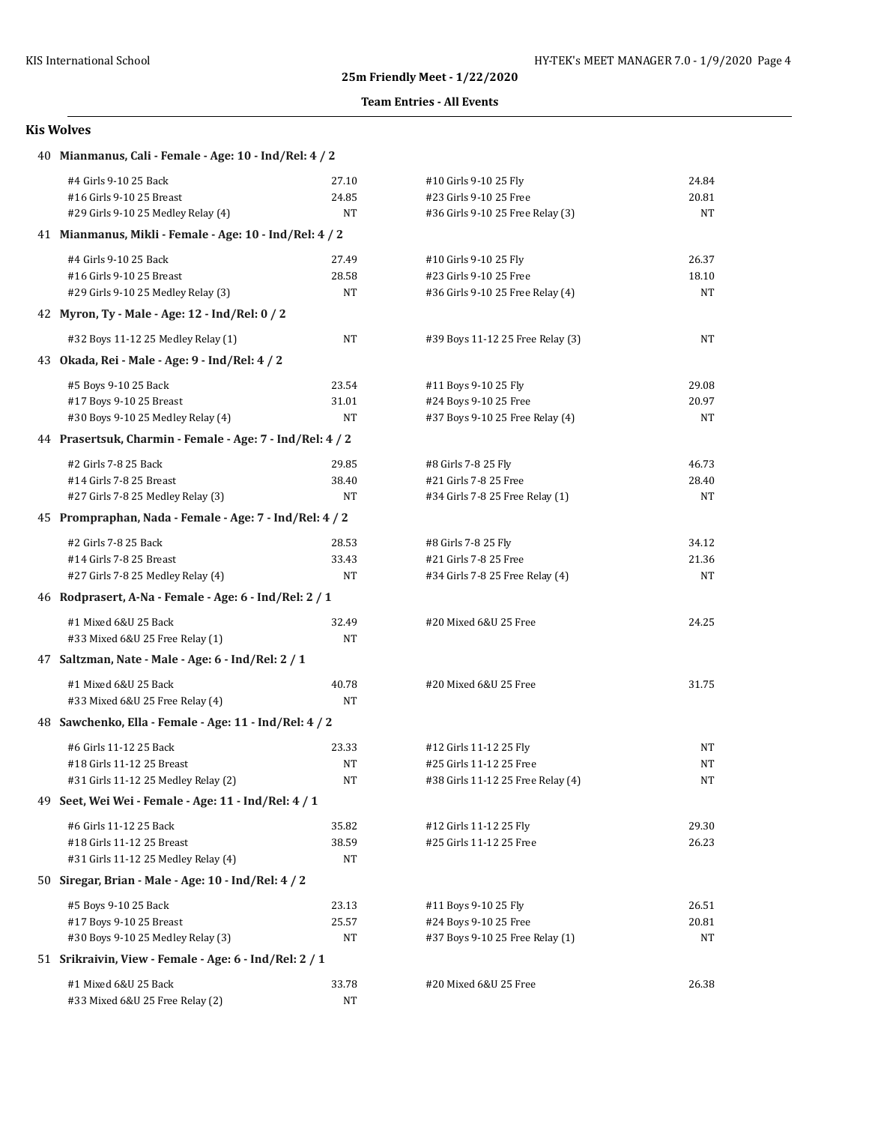## **Team Entries - All Events**

| 40 Mianmanus, Cali - Female - Age: 10 - Ind/Rel: 4 / 2    |                                                         |                                   |           |  |  |
|-----------------------------------------------------------|---------------------------------------------------------|-----------------------------------|-----------|--|--|
| #4 Girls 9-10 25 Back                                     | 27.10                                                   | #10 Girls 9-10 25 Fly             | 24.84     |  |  |
| #16 Girls 9-10 25 Breast                                  | 24.85                                                   | #23 Girls 9-10 25 Free            | 20.81     |  |  |
| #29 Girls 9-10 25 Medley Relay (4)                        | NT                                                      | #36 Girls 9-10 25 Free Relay (3)  | NT        |  |  |
|                                                           | 41 Mianmanus, Mikli - Female - Age: 10 - Ind/Rel: 4 / 2 |                                   |           |  |  |
| #4 Girls 9-10 25 Back                                     | 27.49                                                   | #10 Girls 9-10 25 Fly             | 26.37     |  |  |
| #16 Girls 9-10 25 Breast                                  | 28.58                                                   | #23 Girls 9-10 25 Free            | 18.10     |  |  |
| #29 Girls 9-10 25 Medley Relay (3)                        | NT                                                      | #36 Girls 9-10 25 Free Relay (4)  | NT        |  |  |
| 42 Myron, Ty - Male - Age: 12 - Ind/Rel: 0 / 2            |                                                         |                                   |           |  |  |
| #32 Boys 11-12 25 Medley Relay (1)                        | NT                                                      | #39 Boys 11-12 25 Free Relay (3)  | NT        |  |  |
| 43 Okada, Rei - Male - Age: 9 - Ind/Rel: 4 / 2            |                                                         |                                   |           |  |  |
| #5 Boys 9-10 25 Back                                      | 23.54                                                   | #11 Boys 9-10 25 Fly              | 29.08     |  |  |
| #17 Boys 9-10 25 Breast                                   | 31.01                                                   | #24 Boys 9-10 25 Free             | 20.97     |  |  |
| #30 Boys 9-10 25 Medley Relay (4)                         | NT                                                      | #37 Boys 9-10 25 Free Relay (4)   | NT        |  |  |
| 44 Prasertsuk, Charmin - Female - Age: 7 - Ind/Rel: 4 / 2 |                                                         |                                   |           |  |  |
| #2 Girls 7-8 25 Back                                      | 29.85                                                   | #8 Girls 7-8 25 Fly               | 46.73     |  |  |
| #14 Girls 7-8 25 Breast                                   | 38.40                                                   | #21 Girls 7-8 25 Free             | 28.40     |  |  |
| #27 Girls 7-8 25 Medley Relay (3)                         | NT                                                      | #34 Girls 7-8 25 Free Relay (1)   | NT        |  |  |
| 45 Prompraphan, Nada - Female - Age: 7 - Ind/Rel: 4 / 2   |                                                         |                                   |           |  |  |
| #2 Girls 7-8 25 Back                                      | 28.53                                                   | #8 Girls 7-8 25 Fly               | 34.12     |  |  |
| #14 Girls 7-8 25 Breast                                   | 33.43                                                   | #21 Girls 7-8 25 Free             | 21.36     |  |  |
| #27 Girls 7-8 25 Medley Relay (4)                         | NT                                                      | #34 Girls 7-8 25 Free Relay (4)   | NT        |  |  |
| 46 Rodprasert, A-Na - Female - Age: 6 - Ind/Rel: 2 / 1    |                                                         |                                   |           |  |  |
| #1 Mixed 6&U 25 Back                                      | 32.49                                                   | #20 Mixed 6&U 25 Free             | 24.25     |  |  |
| #33 Mixed 6&U 25 Free Relay (1)                           | NT                                                      |                                   |           |  |  |
| 47 Saltzman, Nate - Male - Age: 6 - Ind/Rel: 2 / 1        |                                                         |                                   |           |  |  |
| #1 Mixed 6&U 25 Back                                      | 40.78                                                   | #20 Mixed 6&U 25 Free             | 31.75     |  |  |
| #33 Mixed 6&U 25 Free Relay (4)                           | NT                                                      |                                   |           |  |  |
| 48 Sawchenko, Ella - Female - Age: 11 - Ind/Rel: 4 / 2    |                                                         |                                   |           |  |  |
| #6 Girls 11-12 25 Back                                    | 23.33                                                   | #12 Girls 11-12 25 Fly            | NT        |  |  |
| #18 Girls 11-12 25 Breast                                 | NΤ                                                      | #25 Girls 11-12 25 Free           | <b>NT</b> |  |  |
| #31 Girls 11-12 25 Medley Relay (2)                       | NT                                                      | #38 Girls 11-12 25 Free Relay (4) | <b>NT</b> |  |  |
| 49 Seet, Wei Wei - Female - Age: 11 - Ind/Rel: 4 / 1      |                                                         |                                   |           |  |  |
| #6 Girls 11-12 25 Back                                    | 35.82                                                   | #12 Girls 11-12 25 Fly            | 29.30     |  |  |
| #18 Girls 11-12 25 Breast                                 | 38.59                                                   | #25 Girls 11-12 25 Free           | 26.23     |  |  |
| #31 Girls 11-12 25 Medley Relay (4)                       | NT                                                      |                                   |           |  |  |
| 50 Siregar, Brian - Male - Age: 10 - Ind/Rel: 4 / 2       |                                                         |                                   |           |  |  |
| #5 Boys 9-10 25 Back                                      | 23.13                                                   | #11 Boys 9-10 25 Fly              | 26.51     |  |  |
| #17 Boys 9-10 25 Breast                                   | 25.57                                                   | #24 Boys 9-10 25 Free             | 20.81     |  |  |
| #30 Boys 9-10 25 Medley Relay (3)                         | NT                                                      | #37 Boys 9-10 25 Free Relay (1)   | NT        |  |  |
| 51 Srikraivin, View - Female - Age: 6 - Ind/Rel: 2 / 1    |                                                         |                                   |           |  |  |
|                                                           |                                                         |                                   |           |  |  |
| #1 Mixed 6&U 25 Back                                      | 33.78                                                   | #20 Mixed 6&U 25 Free             | 26.38     |  |  |
| #33 Mixed 6&U 25 Free Relay (2)                           | NΤ                                                      |                                   |           |  |  |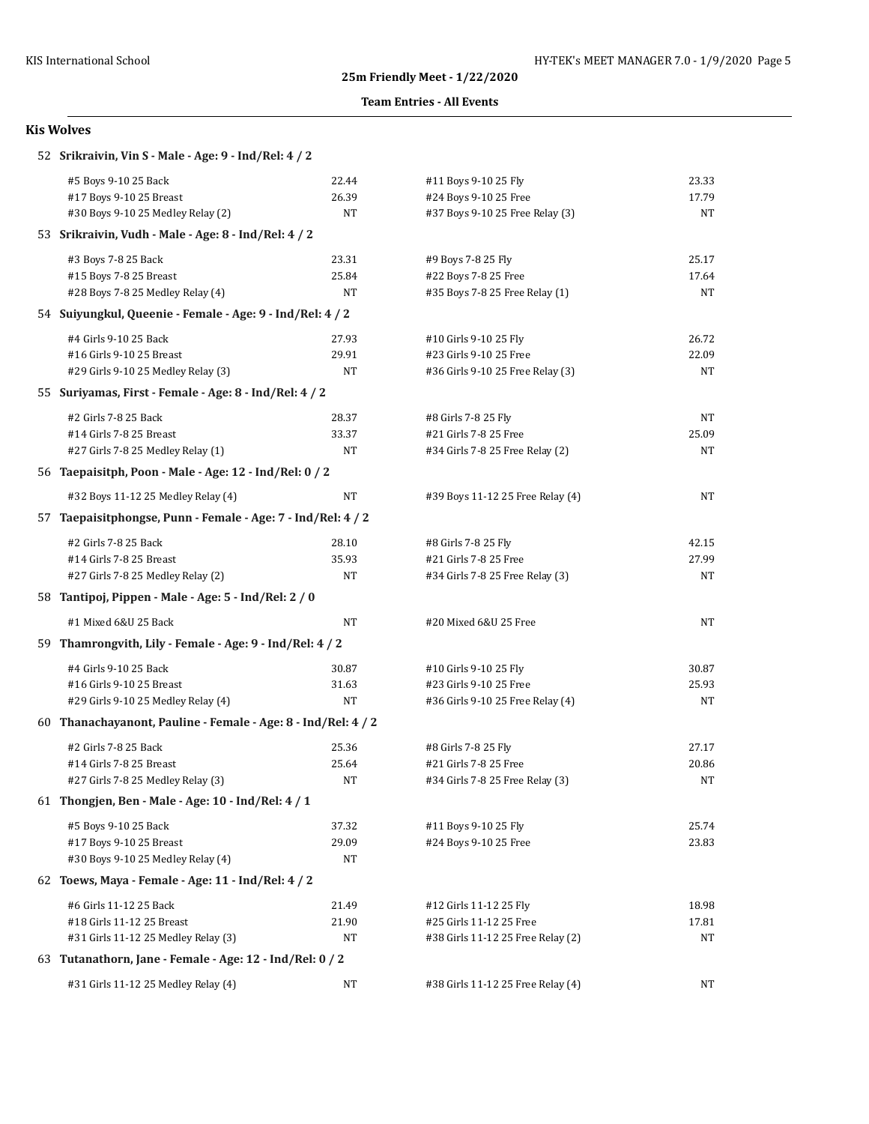### **Team Entries - All Events**

| 52 Srikraivin, Vin S - Male - Age: 9 - Ind/Rel: 4 / 2         |       |                                   |       |  |
|---------------------------------------------------------------|-------|-----------------------------------|-------|--|
| #5 Boys 9-10 25 Back                                          | 22.44 | #11 Boys 9-10 25 Fly              | 23.33 |  |
| #17 Boys 9-10 25 Breast                                       | 26.39 | #24 Boys 9-10 25 Free             | 17.79 |  |
| #30 Boys 9-10 25 Medley Relay (2)                             | NT    | #37 Boys 9-10 25 Free Relay (3)   | NT    |  |
| 53 Srikraivin, Vudh - Male - Age: 8 - Ind/Rel: 4 / 2          |       |                                   |       |  |
| #3 Boys 7-8 25 Back                                           | 23.31 | #9 Boys 7-8 25 Fly                | 25.17 |  |
| #15 Boys 7-8 25 Breast                                        | 25.84 | #22 Boys 7-8 25 Free              | 17.64 |  |
| #28 Boys 7-8 25 Medley Relay (4)                              | NT    | #35 Boys 7-8 25 Free Relay (1)    | NT    |  |
| 54 Suiyungkul, Queenie - Female - Age: 9 - Ind/Rel: 4 / 2     |       |                                   |       |  |
| #4 Girls 9-10 25 Back                                         | 27.93 | #10 Girls 9-10 25 Fly             | 26.72 |  |
| #16 Girls 9-10 25 Breast                                      | 29.91 | #23 Girls 9-10 25 Free            | 22.09 |  |
| #29 Girls 9-10 25 Medley Relay (3)                            | NT    | #36 Girls 9-10 25 Free Relay (3)  | NT    |  |
| 55 Suriyamas, First - Female - Age: 8 - Ind/Rel: 4 / 2        |       |                                   |       |  |
| #2 Girls 7-8 25 Back                                          | 28.37 | #8 Girls 7-8 25 Fly               | NT    |  |
| #14 Girls 7-8 25 Breast                                       | 33.37 | #21 Girls 7-8 25 Free             | 25.09 |  |
| #27 Girls 7-8 25 Medley Relay (1)                             | NT    | #34 Girls 7-8 25 Free Relay (2)   | NT    |  |
| 56 Taepaisitph, Poon - Male - Age: 12 - Ind/Rel: 0 / 2        |       |                                   |       |  |
| #32 Boys 11-12 25 Medley Relay (4)                            | NT    | #39 Boys 11-12 25 Free Relay (4)  | NT    |  |
| 57 Taepaisitphongse, Punn - Female - Age: 7 - Ind/Rel: 4 / 2  |       |                                   |       |  |
| #2 Girls 7-8 25 Back                                          | 28.10 | #8 Girls 7-8 25 Fly               | 42.15 |  |
| #14 Girls 7-8 25 Breast                                       | 35.93 | #21 Girls 7-8 25 Free             | 27.99 |  |
| #27 Girls 7-8 25 Medley Relay (2)                             | NT    | #34 Girls 7-8 25 Free Relay (3)   | NT    |  |
| 58 Tantipoj, Pippen - Male - Age: 5 - Ind/Rel: 2 / 0          |       |                                   |       |  |
| #1 Mixed 6&U 25 Back                                          | NT    | #20 Mixed 6&U 25 Free             | NT    |  |
| 59 Thamrongvith, Lily - Female - Age: 9 - Ind/Rel: 4 / 2      |       |                                   |       |  |
| #4 Girls 9-10 25 Back                                         | 30.87 | #10 Girls 9-10 25 Fly             | 30.87 |  |
| #16 Girls 9-10 25 Breast                                      | 31.63 | #23 Girls 9-10 25 Free            | 25.93 |  |
| #29 Girls 9-10 25 Medley Relay (4)                            | NT    | #36 Girls 9-10 25 Free Relay (4)  | NT    |  |
| 60 Thanachayanont, Pauline - Female - Age: 8 - Ind/Rel: 4 / 2 |       |                                   |       |  |
| #2 Girls 7-8 25 Back                                          | 25.36 | #8 Girls 7-8 25 Fly               | 27.17 |  |
| #14 Girls 7-8 25 Breast                                       | 25.64 | #21 Girls 7-8 25 Free             | 20.86 |  |
| #27 Girls 7-8 25 Medley Relay (3)                             | NT    | #34 Girls 7-8 25 Free Relay (3)   | NT    |  |
| 61 Thongien, Ben - Male - Age: 10 - Ind/Rel: 4 / 1            |       |                                   |       |  |
| #5 Boys 9-10 25 Back                                          | 37.32 | #11 Boys 9-10 25 Fly              | 25.74 |  |
| #17 Boys 9-10 25 Breast                                       | 29.09 | #24 Boys 9-10 25 Free             | 23.83 |  |
| #30 Boys 9-10 25 Medley Relay (4)                             | NT    |                                   |       |  |
| 62 Toews, Maya - Female - Age: 11 - Ind/Rel: 4 / 2            |       |                                   |       |  |
| #6 Girls 11-12 25 Back                                        | 21.49 | #12 Girls 11-12 25 Fly            | 18.98 |  |
| #18 Girls 11-12 25 Breast                                     | 21.90 | #25 Girls 11-12 25 Free           | 17.81 |  |
| #31 Girls 11-12 25 Medley Relay (3)                           | NT    | #38 Girls 11-12 25 Free Relay (2) | NT    |  |
| 63 Tutanathorn, Jane - Female - Age: 12 - Ind/Rel: 0 / 2      |       |                                   |       |  |
| #31 Girls 11-12 25 Medley Relay (4)                           | NT    | #38 Girls 11-12 25 Free Relay (4) | NT    |  |